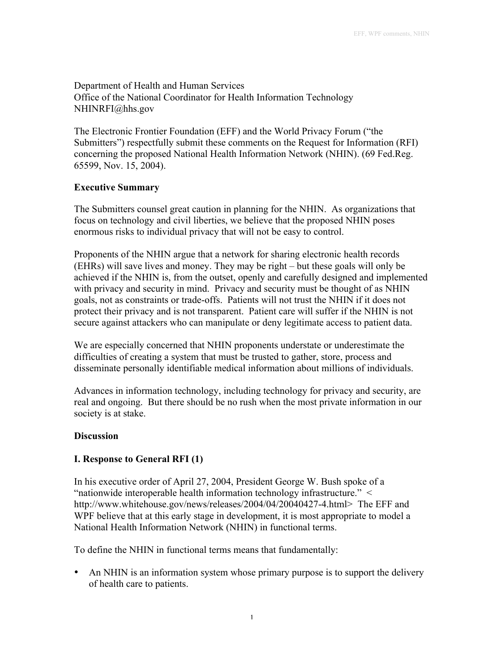Department of Health and Human Services Office of the National Coordinator for Health Information Technology NHINRFI@hhs.gov

The Electronic Frontier Foundation (EFF) and the World Privacy Forum ("the Submitters") respectfully submit these comments on the Request for Information (RFI) concerning the proposed National Health Information Network (NHIN). (69 Fed.Reg. 65599, Nov. 15, 2004).

## **Executive Summary**

The Submitters counsel great caution in planning for the NHIN. As organizations that focus on technology and civil liberties, we believe that the proposed NHIN poses enormous risks to individual privacy that will not be easy to control.

Proponents of the NHIN argue that a network for sharing electronic health records (EHRs) will save lives and money. They may be right – but these goals will only be achieved if the NHIN is, from the outset, openly and carefully designed and implemented with privacy and security in mind. Privacy and security must be thought of as NHIN goals, not as constraints or trade-offs. Patients will not trust the NHIN if it does not protect their privacy and is not transparent. Patient care will suffer if the NHIN is not secure against attackers who can manipulate or deny legitimate access to patient data.

We are especially concerned that NHIN proponents understate or underestimate the difficulties of creating a system that must be trusted to gather, store, process and disseminate personally identifiable medical information about millions of individuals.

Advances in information technology, including technology for privacy and security, are real and ongoing. But there should be no rush when the most private information in our society is at stake.

#### **Discussion**

## **I. Response to General RFI (1)**

In his executive order of April 27, 2004, President George W. Bush spoke of a "nationwide interoperable health information technology infrastructure." < http://www.whitehouse.gov/news/releases/2004/04/20040427-4.html> The EFF and WPF believe that at this early stage in development, it is most appropriate to model a National Health Information Network (NHIN) in functional terms.

To define the NHIN in functional terms means that fundamentally:

An NHIN is an information system whose primary purpose is to support the delivery of health care to patients.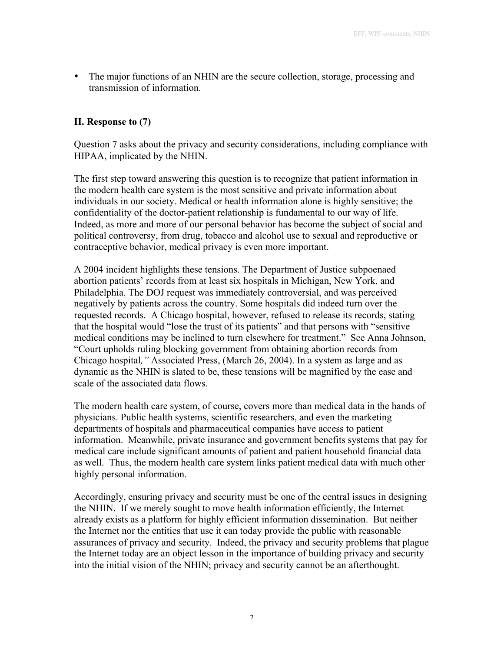The major functions of an NHIN are the secure collection, storage, processing and transmission of information.

### **II. Response to (7)**

Question 7 asks about the privacy and security considerations, including compliance with HIPAA, implicated by the NHIN.

The first step toward answering this question is to recognize that patient information in the modern health care system is the most sensitive and private information about individuals in our society. Medical or health information alone is highly sensitive; the confidentiality of the doctor-patient relationship is fundamental to our way of life. Indeed, as more and more of our personal behavior has become the subject of social and political controversy, from drug, tobacco and alcohol use to sexual and reproductive or contraceptive behavior, medical privacy is even more important.

A 2004 incident highlights these tensions. The Department of Justice subpoenaed abortion patients' records from at least six hospitals in Michigan, New York, and Philadelphia. The DOJ request was immediately controversial, and was perceived negatively by patients across the country. Some hospitals did indeed turn over the requested records. A Chicago hospital, however, refused to release its records, stating that the hospital would "lose the trust of its patients" and that persons with "sensitive medical conditions may be inclined to turn elsewhere for treatment." See Anna Johnson, "Court upholds ruling blocking government from obtaining abortion records from Chicago hospital*,"* Associated Press, (March 26, 2004). In a system as large and as dynamic as the NHIN is slated to be, these tensions will be magnified by the ease and scale of the associated data flows.

The modern health care system, of course, covers more than medical data in the hands of physicians. Public health systems, scientific researchers, and even the marketing departments of hospitals and pharmaceutical companies have access to patient information. Meanwhile, private insurance and government benefits systems that pay for medical care include significant amounts of patient and patient household financial data as well. Thus, the modern health care system links patient medical data with much other highly personal information.

Accordingly, ensuring privacy and security must be one of the central issues in designing the NHIN. If we merely sought to move health information efficiently, the Internet already exists as a platform for highly efficient information dissemination. But neither the Internet nor the entities that use it can today provide the public with reasonable assurances of privacy and security. Indeed, the privacy and security problems that plague the Internet today are an object lesson in the importance of building privacy and security into the initial vision of the NHIN; privacy and security cannot be an afterthought.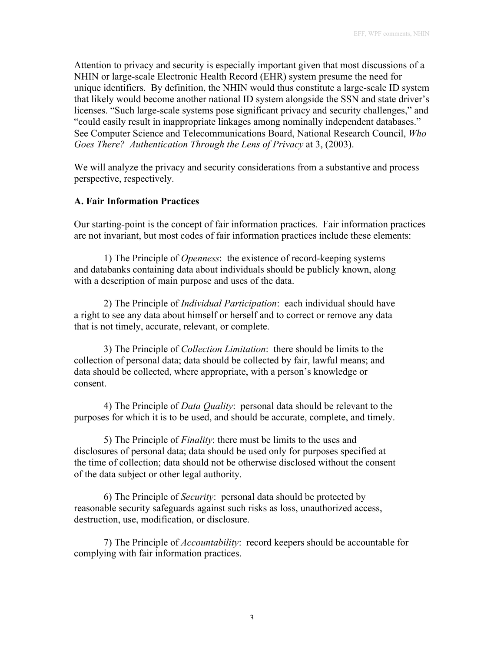Attention to privacy and security is especially important given that most discussions of a NHIN or large-scale Electronic Health Record (EHR) system presume the need for unique identifiers. By definition, the NHIN would thus constitute a large-scale ID system that likely would become another national ID system alongside the SSN and state driver's licenses. "Such large-scale systems pose significant privacy and security challenges," and "could easily result in inappropriate linkages among nominally independent databases." See Computer Science and Telecommunications Board, National Research Council, *Who Goes There? Authentication Through the Lens of Privacy* at 3, (2003).

We will analyze the privacy and security considerations from a substantive and process perspective, respectively.

# **A. Fair Information Practices**

Our starting-point is the concept of fair information practices. Fair information practices are not invariant, but most codes of fair information practices include these elements:

1) The Principle of *Openness*: the existence of record-keeping systems and databanks containing data about individuals should be publicly known, along with a description of main purpose and uses of the data.

2) The Principle of *Individual Participation*: each individual should have a right to see any data about himself or herself and to correct or remove any data that is not timely, accurate, relevant, or complete.

3) The Principle of *Collection Limitation*: there should be limits to the collection of personal data; data should be collected by fair, lawful means; and data should be collected, where appropriate, with a person's knowledge or consent.

4) The Principle of *Data Quality*: personal data should be relevant to the purposes for which it is to be used, and should be accurate, complete, and timely.

5) The Principle of *Finality*: there must be limits to the uses and disclosures of personal data; data should be used only for purposes specified at the time of collection; data should not be otherwise disclosed without the consent of the data subject or other legal authority.

6) The Principle of *Security*: personal data should be protected by reasonable security safeguards against such risks as loss, unauthorized access, destruction, use, modification, or disclosure.

7) The Principle of *Accountability*: record keepers should be accountable for complying with fair information practices.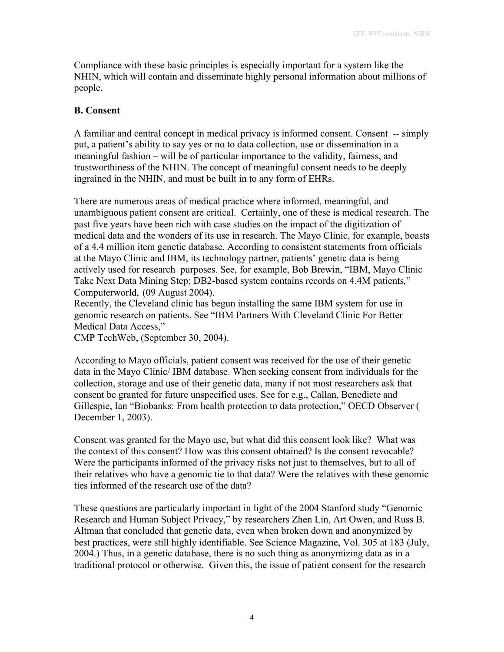Compliance with these basic principles is especially important for a system like the NHIN, which will contain and disseminate highly personal information about millions of people.

# **B. Consent**

A familiar and central concept in medical privacy is informed consent. Consent -- simply put, a patient's ability to say yes or no to data collection, use or dissemination in a meaningful fashion – will be of particular importance to the validity, fairness, and trustworthiness of the NHIN. The concept of meaningful consent needs to be deeply ingrained in the NHIN, and must be built in to any form of EHRs.

There are numerous areas of medical practice where informed, meaningful, and unambiguous patient consent are critical. Certainly, one of these is medical research. The past five years have been rich with case studies on the impact of the digitization of medical data and the wonders of its use in research. The Mayo Clinic, for example, boasts of a 4.4 million item genetic database. According to consistent statements from officials at the Mayo Clinic and IBM, its technology partner, patients' genetic data is being actively used for research purposes. See, for example, Bob Brewin, "IBM, Mayo Clinic Take Next Data Mining Step; DB2-based system contains records on 4.4M patients*,*" Computerworld, (09 August 2004).

Recently, the Cleveland clinic has begun installing the same IBM system for use in genomic research on patients. See "IBM Partners With Cleveland Clinic For Better Medical Data Access,"

CMP TechWeb, (September 30, 2004).

According to Mayo officials, patient consent was received for the use of their genetic data in the Mayo Clinic/ IBM database. When seeking consent from individuals for the collection, storage and use of their genetic data, many if not most researchers ask that consent be granted for future unspecified uses. See for e.g., Callan, Benedicte and Gillespie, Ian "Biobanks: From health protection to data protection," OECD Observer ( December 1, 2003).

Consent was granted for the Mayo use, but what did this consent look like? What was the context of this consent? How was this consent obtained? Is the consent revocable? Were the participants informed of the privacy risks not just to themselves, but to all of their relatives who have a genomic tie to that data? Were the relatives with these genomic ties informed of the research use of the data?

These questions are particularly important in light of the 2004 Stanford study "Genomic Research and Human Subject Privacy," by researchers Zhen Lin, Art Owen, and Russ B. Altman that concluded that genetic data, even when broken down and anonymized by best practices, were still highly identifiable. See Science Magazine, Vol. 305 at 183 (July, 2004.) Thus, in a genetic database, there is no such thing as anonymizing data as in a traditional protocol or otherwise. Given this, the issue of patient consent for the research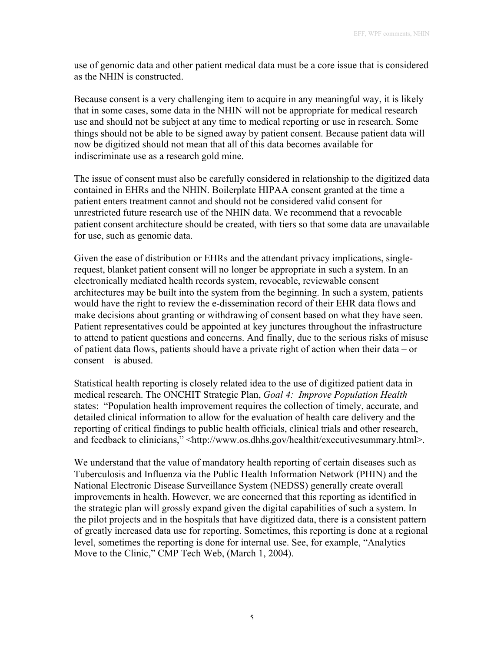use of genomic data and other patient medical data must be a core issue that is considered as the NHIN is constructed.

Because consent is a very challenging item to acquire in any meaningful way, it is likely that in some cases, some data in the NHIN will not be appropriate for medical research use and should not be subject at any time to medical reporting or use in research. Some things should not be able to be signed away by patient consent. Because patient data will now be digitized should not mean that all of this data becomes available for indiscriminate use as a research gold mine.

The issue of consent must also be carefully considered in relationship to the digitized data contained in EHRs and the NHIN. Boilerplate HIPAA consent granted at the time a patient enters treatment cannot and should not be considered valid consent for unrestricted future research use of the NHIN data. We recommend that a revocable patient consent architecture should be created, with tiers so that some data are unavailable for use, such as genomic data.

Given the ease of distribution or EHRs and the attendant privacy implications, singlerequest, blanket patient consent will no longer be appropriate in such a system. In an electronically mediated health records system, revocable, reviewable consent architectures may be built into the system from the beginning. In such a system, patients would have the right to review the e-dissemination record of their EHR data flows and make decisions about granting or withdrawing of consent based on what they have seen. Patient representatives could be appointed at key junctures throughout the infrastructure to attend to patient questions and concerns. And finally, due to the serious risks of misuse of patient data flows, patients should have a private right of action when their data – or consent – is abused.

Statistical health reporting is closely related idea to the use of digitized patient data in medical research. The ONCHIT Strategic Plan, *Goal 4: Improve Population Health* states: "Population health improvement requires the collection of timely, accurate, and detailed clinical information to allow for the evaluation of health care delivery and the reporting of critical findings to public health officials, clinical trials and other research, and feedback to clinicians," <http://www.os.dhhs.gov/healthit/executivesummary.html>.

We understand that the value of mandatory health reporting of certain diseases such as Tuberculosis and Influenza via the Public Health Information Network (PHIN) and the National Electronic Disease Surveillance System (NEDSS) generally create overall improvements in health. However, we are concerned that this reporting as identified in the strategic plan will grossly expand given the digital capabilities of such a system. In the pilot projects and in the hospitals that have digitized data, there is a consistent pattern of greatly increased data use for reporting. Sometimes, this reporting is done at a regional level, sometimes the reporting is done for internal use. See, for example, "Analytics Move to the Clinic," CMP Tech Web, (March 1, 2004).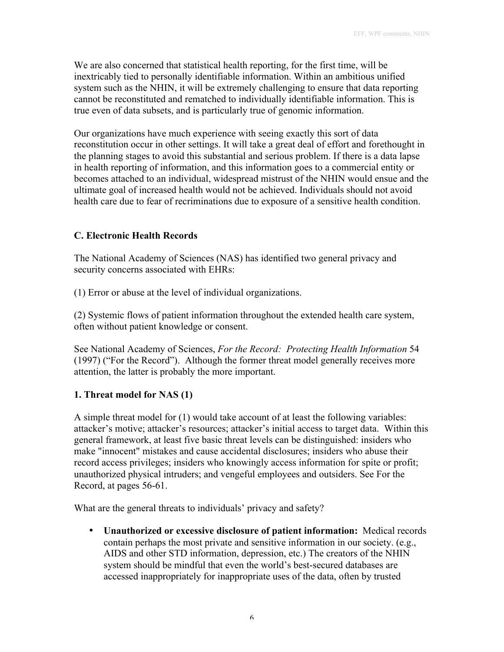We are also concerned that statistical health reporting, for the first time, will be inextricably tied to personally identifiable information. Within an ambitious unified system such as the NHIN, it will be extremely challenging to ensure that data reporting cannot be reconstituted and rematched to individually identifiable information. This is true even of data subsets, and is particularly true of genomic information.

Our organizations have much experience with seeing exactly this sort of data reconstitution occur in other settings. It will take a great deal of effort and forethought in the planning stages to avoid this substantial and serious problem. If there is a data lapse in health reporting of information, and this information goes to a commercial entity or becomes attached to an individual, widespread mistrust of the NHIN would ensue and the ultimate goal of increased health would not be achieved. Individuals should not avoid health care due to fear of recriminations due to exposure of a sensitive health condition.

# **C. Electronic Health Records**

The National Academy of Sciences (NAS) has identified two general privacy and security concerns associated with EHRs:

(1) Error or abuse at the level of individual organizations.

(2) Systemic flows of patient information throughout the extended health care system, often without patient knowledge or consent.

See National Academy of Sciences, *For the Record: Protecting Health Information* 54 (1997) ("For the Record"). Although the former threat model generally receives more attention, the latter is probably the more important.

# **1. Threat model for NAS (1)**

A simple threat model for (1) would take account of at least the following variables: attacker's motive; attacker's resources; attacker's initial access to target data. Within this general framework, at least five basic threat levels can be distinguished: insiders who make "innocent" mistakes and cause accidental disclosures; insiders who abuse their record access privileges; insiders who knowingly access information for spite or profit; unauthorized physical intruders; and vengeful employees and outsiders. See For the Record, at pages 56-61.

What are the general threats to individuals' privacy and safety?

**Unauthorized or excessive disclosure of patient information:** Medical records contain perhaps the most private and sensitive information in our society. (e.g., AIDS and other STD information, depression, etc.) The creators of the NHIN system should be mindful that even the world's best-secured databases are accessed inappropriately for inappropriate uses of the data, often by trusted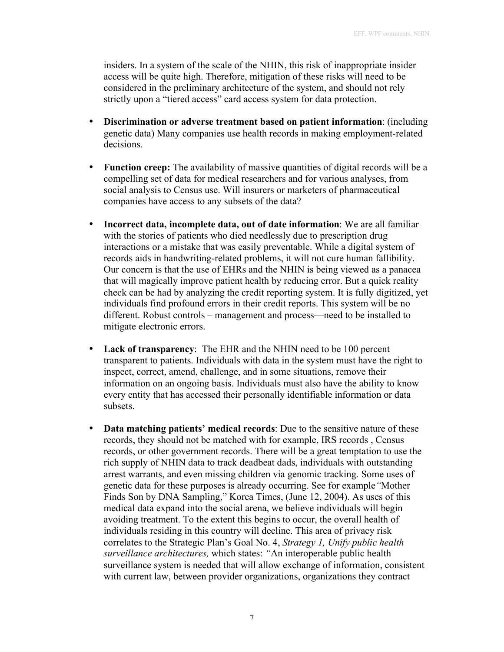insiders. In a system of the scale of the NHIN, this risk of inappropriate insider access will be quite high. Therefore, mitigation of these risks will need to be considered in the preliminary architecture of the system, and should not rely strictly upon a "tiered access" card access system for data protection.

**Discrimination or adverse treatment based on patient information**: (including genetic data) Many companies use health records in making employment-related decisions.

**Function creep:** The availability of massive quantities of digital records will be a compelling set of data for medical researchers and for various analyses, from social analysis to Census use. Will insurers or marketers of pharmaceutical companies have access to any subsets of the data?

**Incorrect data, incomplete data, out of date information**: We are all familiar with the stories of patients who died needlessly due to prescription drug interactions or a mistake that was easily preventable. While a digital system of records aids in handwriting-related problems, it will not cure human fallibility. Our concern is that the use of EHRs and the NHIN is being viewed as a panacea that will magically improve patient health by reducing error. But a quick reality check can be had by analyzing the credit reporting system. It is fully digitized, yet individuals find profound errors in their credit reports. This system will be no different. Robust controls – management and process—need to be installed to mitigate electronic errors.

**Lack of transparency**: The EHR and the NHIN need to be 100 percent transparent to patients. Individuals with data in the system must have the right to inspect, correct, amend, challenge, and in some situations, remove their information on an ongoing basis. Individuals must also have the ability to know every entity that has accessed their personally identifiable information or data subsets.

**Data matching patients' medical records**: Due to the sensitive nature of these records, they should not be matched with for example, IRS records , Census records, or other government records. There will be a great temptation to use the rich supply of NHIN data to track deadbeat dads, individuals with outstanding arrest warrants, and even missing children via genomic tracking. Some uses of genetic data for these purposes is already occurring. See for example*"*Mother Finds Son by DNA Sampling," Korea Times, (June 12, 2004). As uses of this medical data expand into the social arena, we believe individuals will begin avoiding treatment. To the extent this begins to occur, the overall health of individuals residing in this country will decline. This area of privacy risk correlates to the Strategic Plan's Goal No. 4, *Strategy 1, Unify public health surveillance architectures,* which states: *"*An interoperable public health surveillance system is needed that will allow exchange of information, consistent with current law, between provider organizations, organizations they contract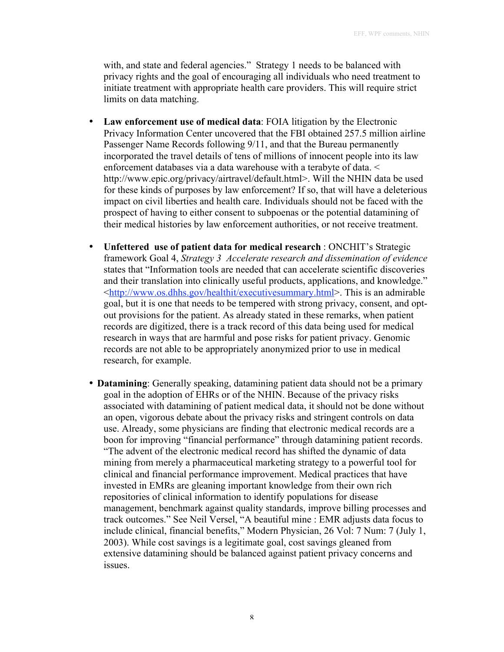with, and state and federal agencies." Strategy 1 needs to be balanced with privacy rights and the goal of encouraging all individuals who need treatment to initiate treatment with appropriate health care providers. This will require strict limits on data matching.

**Law enforcement use of medical data**: FOIA litigation by the Electronic Privacy Information Center uncovered that the FBI obtained 257.5 million airline Passenger Name Records following 9/11, and that the Bureau permanently incorporated the travel details of tens of millions of innocent people into its law enforcement databases via a data warehouse with a terabyte of data. < http://www.epic.org/privacy/airtravel/default.html>. Will the NHIN data be used for these kinds of purposes by law enforcement? If so, that will have a deleterious impact on civil liberties and health care. Individuals should not be faced with the prospect of having to either consent to subpoenas or the potential datamining of their medical histories by law enforcement authorities, or not receive treatment.

**Unfettered use of patient data for medical research** : ONCHIT's Strategic framework Goal 4, *Strategy 3 Accelerate research and dissemination of evidence* states that "Information tools are needed that can accelerate scientific discoveries and their translation into clinically useful products, applications, and knowledge." <http://www.os.dhhs.gov/healthit/executivesummary.html>. This is an admirable goal, but it is one that needs to be tempered with strong privacy, consent, and optout provisions for the patient. As already stated in these remarks, when patient records are digitized, there is a track record of this data being used for medical research in ways that are harmful and pose risks for patient privacy. Genomic records are not able to be appropriately anonymized prior to use in medical research, for example.

**Datamining**: Generally speaking, datamining patient data should not be a primary goal in the adoption of EHRs or of the NHIN. Because of the privacy risks associated with datamining of patient medical data, it should not be done without an open, vigorous debate about the privacy risks and stringent controls on data use. Already, some physicians are finding that electronic medical records are a boon for improving "financial performance" through datamining patient records. "The advent of the electronic medical record has shifted the dynamic of data mining from merely a pharmaceutical marketing strategy to a powerful tool for clinical and financial performance improvement. Medical practices that have invested in EMRs are gleaning important knowledge from their own rich repositories of clinical information to identify populations for disease management, benchmark against quality standards, improve billing processes and track outcomes." See Neil Versel, "A beautiful mine : EMR adjusts data focus to include clinical, financial benefits," Modern Physician, 26 Vol: 7 Num: 7 (July 1, 2003). While cost savings is a legitimate goal, cost savings gleaned from extensive datamining should be balanced against patient privacy concerns and issues.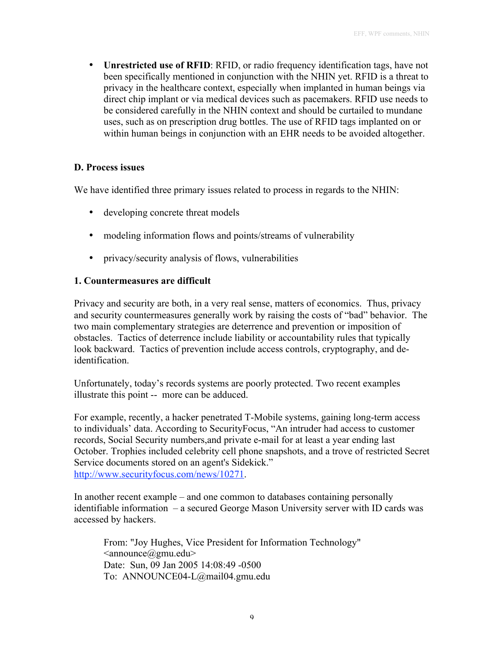**Unrestricted use of RFID**: RFID, or radio frequency identification tags, have not been specifically mentioned in conjunction with the NHIN yet. RFID is a threat to privacy in the healthcare context, especially when implanted in human beings via direct chip implant or via medical devices such as pacemakers. RFID use needs to be considered carefully in the NHIN context and should be curtailed to mundane uses, such as on prescription drug bottles. The use of RFID tags implanted on or within human beings in conjunction with an EHR needs to be avoided altogether.

#### **D. Process issues**

We have identified three primary issues related to process in regards to the NHIN:

developing concrete threat models

modeling information flows and points/streams of vulnerability

privacy/security analysis of flows, vulnerabilities

#### **1. Countermeasures are difficult**

Privacy and security are both, in a very real sense, matters of economics. Thus, privacy and security countermeasures generally work by raising the costs of "bad" behavior. The two main complementary strategies are deterrence and prevention or imposition of obstacles. Tactics of deterrence include liability or accountability rules that typically look backward. Tactics of prevention include access controls, cryptography, and deidentification.

Unfortunately, today's records systems are poorly protected. Two recent examples illustrate this point -- more can be adduced.

For example, recently, a hacker penetrated T-Mobile systems, gaining long-term access to individuals' data. According to SecurityFocus, "An intruder had access to customer records, Social Security numbers,and private e-mail for at least a year ending last October. Trophies included celebrity cell phone snapshots, and a trove of restricted Secret Service documents stored on an agent's Sidekick." http://www.securityfocus.com/news/10271.

In another recent example – and one common to databases containing personally identifiable information – a secured George Mason University server with ID cards was accessed by hackers.

From: "Joy Hughes, Vice President for Information Technology"  $\leq$ announce $@$ gmu.edu $>$ Date: Sun, 09 Jan 2005 14:08:49 -0500 To: ANNOUNCE04-L@mail04.gmu.edu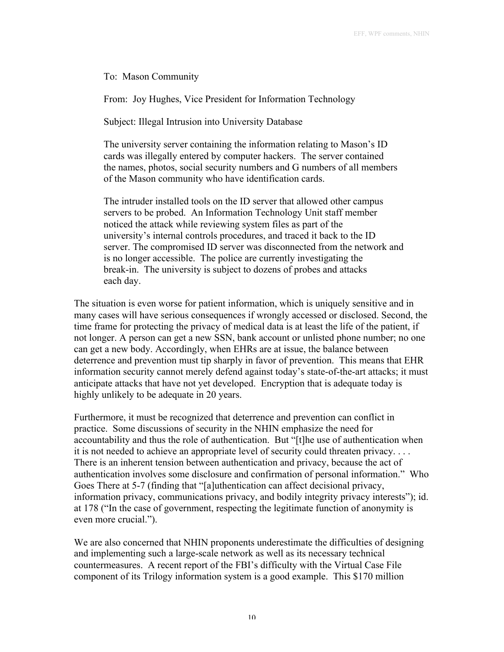To: Mason Community

From: Joy Hughes, Vice President for Information Technology

Subject: Illegal Intrusion into University Database

The university server containing the information relating to Mason's ID cards was illegally entered by computer hackers. The server contained the names, photos, social security numbers and G numbers of all members of the Mason community who have identification cards.

The intruder installed tools on the ID server that allowed other campus servers to be probed. An Information Technology Unit staff member noticed the attack while reviewing system files as part of the university's internal controls procedures, and traced it back to the ID server. The compromised ID server was disconnected from the network and is no longer accessible. The police are currently investigating the break-in. The university is subject to dozens of probes and attacks each day.

The situation is even worse for patient information, which is uniquely sensitive and in many cases will have serious consequences if wrongly accessed or disclosed. Second, the time frame for protecting the privacy of medical data is at least the life of the patient, if not longer. A person can get a new SSN, bank account or unlisted phone number; no one can get a new body. Accordingly, when EHRs are at issue, the balance between deterrence and prevention must tip sharply in favor of prevention. This means that EHR information security cannot merely defend against today's state-of-the-art attacks; it must anticipate attacks that have not yet developed. Encryption that is adequate today is highly unlikely to be adequate in 20 years.

Furthermore, it must be recognized that deterrence and prevention can conflict in practice. Some discussions of security in the NHIN emphasize the need for accountability and thus the role of authentication. But "[t]he use of authentication when it is not needed to achieve an appropriate level of security could threaten privacy. . . . There is an inherent tension between authentication and privacy, because the act of authentication involves some disclosure and confirmation of personal information." Who Goes There at 5-7 (finding that "[a]uthentication can affect decisional privacy, information privacy, communications privacy, and bodily integrity privacy interests"); id. at 178 ("In the case of government, respecting the legitimate function of anonymity is even more crucial.").

We are also concerned that NHIN proponents underestimate the difficulties of designing and implementing such a large-scale network as well as its necessary technical countermeasures. A recent report of the FBI's difficulty with the Virtual Case File component of its Trilogy information system is a good example. This \$170 million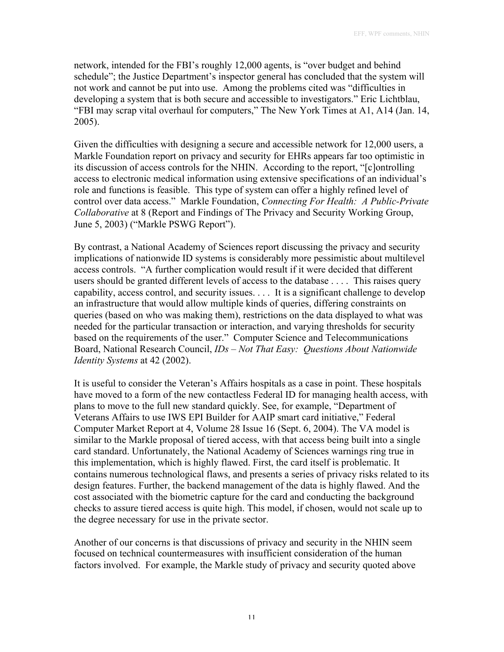network, intended for the FBI's roughly 12,000 agents, is "over budget and behind schedule"; the Justice Department's inspector general has concluded that the system will not work and cannot be put into use. Among the problems cited was "difficulties in developing a system that is both secure and accessible to investigators." Eric Lichtblau, "FBI may scrap vital overhaul for computers," The New York Times at A1, A14 (Jan. 14, 2005).

Given the difficulties with designing a secure and accessible network for 12,000 users, a Markle Foundation report on privacy and security for EHRs appears far too optimistic in its discussion of access controls for the NHIN. According to the report, "[c]ontrolling access to electronic medical information using extensive specifications of an individual's role and functions is feasible. This type of system can offer a highly refined level of control over data access." Markle Foundation, *Connecting For Health: A Public-Private Collaborative* at 8 (Report and Findings of The Privacy and Security Working Group, June 5, 2003) ("Markle PSWG Report").

By contrast, a National Academy of Sciences report discussing the privacy and security implications of nationwide ID systems is considerably more pessimistic about multilevel access controls. "A further complication would result if it were decided that different users should be granted different levels of access to the database . . . . This raises query capability, access control, and security issues. . . . It is a significant challenge to develop an infrastructure that would allow multiple kinds of queries, differing constraints on queries (based on who was making them), restrictions on the data displayed to what was needed for the particular transaction or interaction, and varying thresholds for security based on the requirements of the user." Computer Science and Telecommunications Board, National Research Council, *IDs – Not That Easy: Questions About Nationwide Identity Systems* at 42 (2002).

It is useful to consider the Veteran's Affairs hospitals as a case in point. These hospitals have moved to a form of the new contactless Federal ID for managing health access, with plans to move to the full new standard quickly. See, for example, "Department of Veterans Affairs to use IWS EPI Builder for AAIP smart card initiative," Federal Computer Market Report at 4, Volume 28 Issue 16 (Sept. 6, 2004). The VA model is similar to the Markle proposal of tiered access, with that access being built into a single card standard. Unfortunately, the National Academy of Sciences warnings ring true in this implementation, which is highly flawed. First, the card itself is problematic. It contains numerous technological flaws, and presents a series of privacy risks related to its design features. Further, the backend management of the data is highly flawed. And the cost associated with the biometric capture for the card and conducting the background checks to assure tiered access is quite high. This model, if chosen, would not scale up to the degree necessary for use in the private sector.

Another of our concerns is that discussions of privacy and security in the NHIN seem focused on technical countermeasures with insufficient consideration of the human factors involved. For example, the Markle study of privacy and security quoted above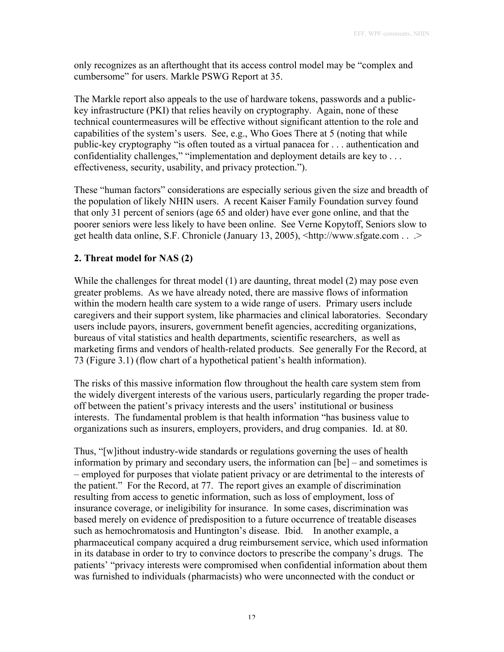only recognizes as an afterthought that its access control model may be "complex and cumbersome" for users. Markle PSWG Report at 35.

The Markle report also appeals to the use of hardware tokens, passwords and a publickey infrastructure (PKI) that relies heavily on cryptography. Again, none of these technical countermeasures will be effective without significant attention to the role and capabilities of the system's users. See, e.g., Who Goes There at 5 (noting that while public-key cryptography "is often touted as a virtual panacea for . . . authentication and confidentiality challenges," "implementation and deployment details are key to . . . effectiveness, security, usability, and privacy protection.").

These "human factors" considerations are especially serious given the size and breadth of the population of likely NHIN users. A recent Kaiser Family Foundation survey found that only 31 percent of seniors (age 65 and older) have ever gone online, and that the poorer seniors were less likely to have been online. See Verne Kopytoff, Seniors slow to get health data online, S.F. Chronicle (January 13, 2005), <http://www.sfgate.com . . .>

# **2. Threat model for NAS (2)**

While the challenges for threat model (1) are daunting, threat model (2) may pose even greater problems. As we have already noted, there are massive flows of information within the modern health care system to a wide range of users. Primary users include caregivers and their support system, like pharmacies and clinical laboratories. Secondary users include payors, insurers, government benefit agencies, accrediting organizations, bureaus of vital statistics and health departments, scientific researchers, as well as marketing firms and vendors of health-related products. See generally For the Record, at 73 (Figure 3.1) (flow chart of a hypothetical patient's health information).

The risks of this massive information flow throughout the health care system stem from the widely divergent interests of the various users, particularly regarding the proper tradeoff between the patient's privacy interests and the users' institutional or business interests. The fundamental problem is that health information "has business value to organizations such as insurers, employers, providers, and drug companies. Id. at 80.

Thus, "[w]ithout industry-wide standards or regulations governing the uses of health information by primary and secondary users, the information can [be] – and sometimes is – employed for purposes that violate patient privacy or are detrimental to the interests of the patient." For the Record, at 77. The report gives an example of discrimination resulting from access to genetic information, such as loss of employment, loss of insurance coverage, or ineligibility for insurance. In some cases, discrimination was based merely on evidence of predisposition to a future occurrence of treatable diseases such as hemochromatosis and Huntington's disease. Ibid. In another example, a pharmaceutical company acquired a drug reimbursement service, which used information in its database in order to try to convince doctors to prescribe the company's drugs. The patients' "privacy interests were compromised when confidential information about them was furnished to individuals (pharmacists) who were unconnected with the conduct or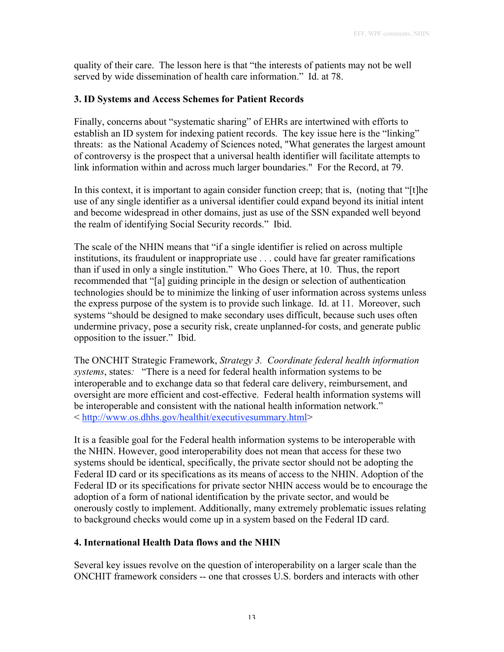quality of their care. The lesson here is that "the interests of patients may not be well served by wide dissemination of health care information." Id. at 78.

## **3. ID Systems and Access Schemes for Patient Records**

Finally, concerns about "systematic sharing" of EHRs are intertwined with efforts to establish an ID system for indexing patient records. The key issue here is the "linking" threats: as the National Academy of Sciences noted, "What generates the largest amount of controversy is the prospect that a universal health identifier will facilitate attempts to link information within and across much larger boundaries." For the Record, at 79.

In this context, it is important to again consider function creep; that is, (noting that "[t]he use of any single identifier as a universal identifier could expand beyond its initial intent and become widespread in other domains, just as use of the SSN expanded well beyond the realm of identifying Social Security records." Ibid.

The scale of the NHIN means that "if a single identifier is relied on across multiple institutions, its fraudulent or inappropriate use . . . could have far greater ramifications than if used in only a single institution." Who Goes There, at 10. Thus, the report recommended that "[a] guiding principle in the design or selection of authentication technologies should be to minimize the linking of user information across systems unless the express purpose of the system is to provide such linkage. Id. at 11. Moreover, such systems "should be designed to make secondary uses difficult, because such uses often undermine privacy, pose a security risk, create unplanned-for costs, and generate public opposition to the issuer." Ibid.

The ONCHIT Strategic Framework, *Strategy 3. Coordinate federal health information systems*, states*:* "There is a need for federal health information systems to be interoperable and to exchange data so that federal care delivery, reimbursement, and oversight are more efficient and cost-effective. Federal health information systems will be interoperable and consistent with the national health information network." < http://www.os.dhhs.gov/healthit/executivesummary.html>

It is a feasible goal for the Federal health information systems to be interoperable with the NHIN. However, good interoperability does not mean that access for these two systems should be identical, specifically, the private sector should not be adopting the Federal ID card or its specifications as its means of access to the NHIN. Adoption of the Federal ID or its specifications for private sector NHIN access would be to encourage the adoption of a form of national identification by the private sector, and would be onerously costly to implement. Additionally, many extremely problematic issues relating to background checks would come up in a system based on the Federal ID card.

# **4. International Health Data flows and the NHIN**

Several key issues revolve on the question of interoperability on a larger scale than the ONCHIT framework considers -- one that crosses U.S. borders and interacts with other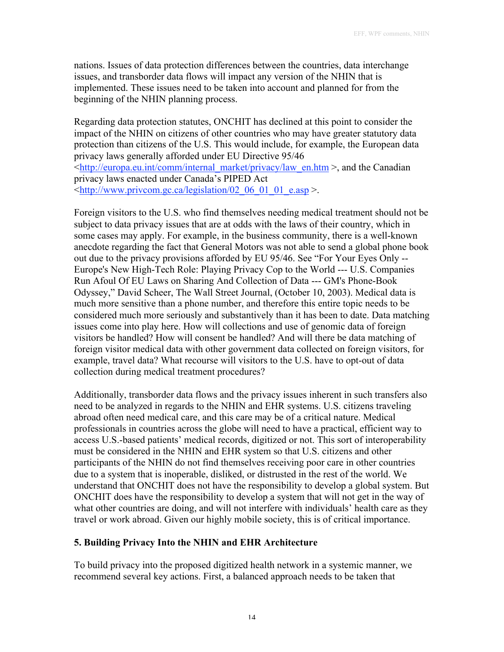nations. Issues of data protection differences between the countries, data interchange issues, and transborder data flows will impact any version of the NHIN that is implemented. These issues need to be taken into account and planned for from the beginning of the NHIN planning process.

Regarding data protection statutes, ONCHIT has declined at this point to consider the impact of the NHIN on citizens of other countries who may have greater statutory data protection than citizens of the U.S. This would include, for example, the European data privacy laws generally afforded under EU Directive 95/46 <http://europa.eu.int/comm/internal\_market/privacy/law\_en.htm >, and the Canadian privacy laws enacted under Canada's PIPED Act  $\lt$ http://www.privcom.gc.ca/legislation/02\_06\_01\_01\_e.asp >.

Foreign visitors to the U.S. who find themselves needing medical treatment should not be subject to data privacy issues that are at odds with the laws of their country, which in some cases may apply. For example, in the business community, there is a well-known anecdote regarding the fact that General Motors was not able to send a global phone book out due to the privacy provisions afforded by EU 95/46. See "For Your Eyes Only -- Europe's New High-Tech Role: Playing Privacy Cop to the World --- U.S. Companies Run Afoul Of EU Laws on Sharing And Collection of Data --- GM's Phone-Book Odyssey," David Scheer, The Wall Street Journal, (October 10, 2003). Medical data is much more sensitive than a phone number, and therefore this entire topic needs to be considered much more seriously and substantively than it has been to date. Data matching issues come into play here. How will collections and use of genomic data of foreign visitors be handled? How will consent be handled? And will there be data matching of foreign visitor medical data with other government data collected on foreign visitors, for example, travel data? What recourse will visitors to the U.S. have to opt-out of data collection during medical treatment procedures?

Additionally, transborder data flows and the privacy issues inherent in such transfers also need to be analyzed in regards to the NHIN and EHR systems. U.S. citizens traveling abroad often need medical care, and this care may be of a critical nature. Medical professionals in countries across the globe will need to have a practical, efficient way to access U.S.-based patients' medical records, digitized or not. This sort of interoperability must be considered in the NHIN and EHR system so that U.S. citizens and other participants of the NHIN do not find themselves receiving poor care in other countries due to a system that is inoperable, disliked, or distrusted in the rest of the world. We understand that ONCHIT does not have the responsibility to develop a global system. But ONCHIT does have the responsibility to develop a system that will not get in the way of what other countries are doing, and will not interfere with individuals' health care as they travel or work abroad. Given our highly mobile society, this is of critical importance.

## **5. Building Privacy Into the NHIN and EHR Architecture**

To build privacy into the proposed digitized health network in a systemic manner, we recommend several key actions. First, a balanced approach needs to be taken that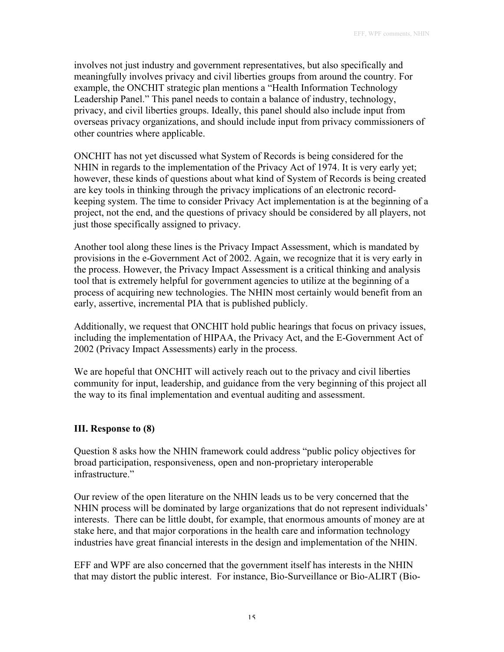involves not just industry and government representatives, but also specifically and meaningfully involves privacy and civil liberties groups from around the country. For example, the ONCHIT strategic plan mentions a "Health Information Technology Leadership Panel." This panel needs to contain a balance of industry, technology, privacy, and civil liberties groups. Ideally, this panel should also include input from overseas privacy organizations, and should include input from privacy commissioners of other countries where applicable.

ONCHIT has not yet discussed what System of Records is being considered for the NHIN in regards to the implementation of the Privacy Act of 1974. It is very early yet; however, these kinds of questions about what kind of System of Records is being created are key tools in thinking through the privacy implications of an electronic recordkeeping system. The time to consider Privacy Act implementation is at the beginning of a project, not the end, and the questions of privacy should be considered by all players, not just those specifically assigned to privacy.

Another tool along these lines is the Privacy Impact Assessment, which is mandated by provisions in the e-Government Act of 2002. Again, we recognize that it is very early in the process. However, the Privacy Impact Assessment is a critical thinking and analysis tool that is extremely helpful for government agencies to utilize at the beginning of a process of acquiring new technologies. The NHIN most certainly would benefit from an early, assertive, incremental PIA that is published publicly.

Additionally, we request that ONCHIT hold public hearings that focus on privacy issues, including the implementation of HIPAA, the Privacy Act, and the E-Government Act of 2002 (Privacy Impact Assessments) early in the process.

We are hopeful that ONCHIT will actively reach out to the privacy and civil liberties community for input, leadership, and guidance from the very beginning of this project all the way to its final implementation and eventual auditing and assessment.

## **III. Response to (8)**

Question 8 asks how the NHIN framework could address "public policy objectives for broad participation, responsiveness, open and non-proprietary interoperable infrastructure."

Our review of the open literature on the NHIN leads us to be very concerned that the NHIN process will be dominated by large organizations that do not represent individuals' interests. There can be little doubt, for example, that enormous amounts of money are at stake here, and that major corporations in the health care and information technology industries have great financial interests in the design and implementation of the NHIN.

EFF and WPF are also concerned that the government itself has interests in the NHIN that may distort the public interest. For instance, Bio-Surveillance or Bio-ALIRT (Bio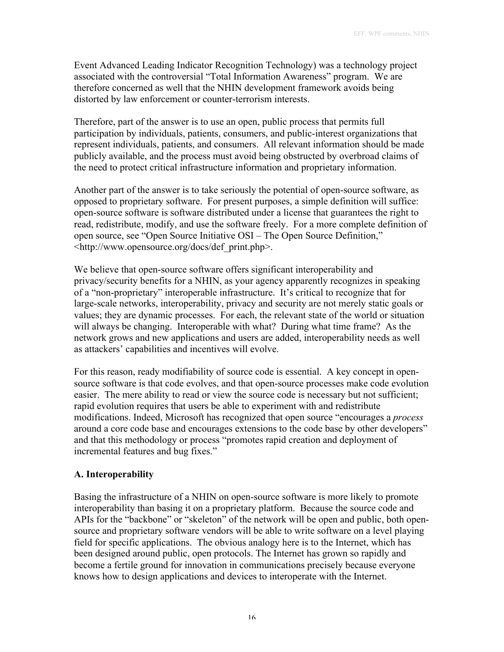Event Advanced Leading Indicator Recognition Technology) was a technology project associated with the controversial "Total Information Awareness" program. We are therefore concerned as well that the NHIN development framework avoids being distorted by law enforcement or counter-terrorism interests.

Therefore, part of the answer is to use an open, public process that permits full participation by individuals, patients, consumers, and public-interest organizations that represent individuals, patients, and consumers. All relevant information should be made publicly available, and the process must avoid being obstructed by overbroad claims of the need to protect critical infrastructure information and proprietary information.

Another part of the answer is to take seriously the potential of open-source software, as opposed to proprietary software. For present purposes, a simple definition will suffice: open-source software is software distributed under a license that guarantees the right to read, redistribute, modify, and use the software freely. For a more complete definition of open source, see "Open Source Initiative OSI – The Open Source Definition," <http://www.opensource.org/docs/def\_print.php>.

We believe that open-source software offers significant interoperability and privacy/security benefits for a NHIN, as your agency apparently recognizes in speaking of a "non-proprietary" interoperable infrastructure. It's critical to recognize that for large-scale networks, interoperability, privacy and security are not merely static goals or values; they are dynamic processes. For each, the relevant state of the world or situation will always be changing. Interoperable with what? During what time frame? As the network grows and new applications and users are added, interoperability needs as well as attackers' capabilities and incentives will evolve.

For this reason, ready modifiability of source code is essential. A key concept in opensource software is that code evolves, and that open-source processes make code evolution easier. The mere ability to read or view the source code is necessary but not sufficient; rapid evolution requires that users be able to experiment with and redistribute modifications. Indeed, Microsoft has recognized that open source "encourages a *process* around a core code base and encourages extensions to the code base by other developers" and that this methodology or process "promotes rapid creation and deployment of incremental features and bug fixes."

## **A. Interoperability**

Basing the infrastructure of a NHIN on open-source software is more likely to promote interoperability than basing it on a proprietary platform. Because the source code and APIs for the "backbone" or "skeleton" of the network will be open and public, both opensource and proprietary software vendors will be able to write software on a level playing field for specific applications. The obvious analogy here is to the Internet, which has been designed around public, open protocols. The Internet has grown so rapidly and become a fertile ground for innovation in communications precisely because everyone knows how to design applications and devices to interoperate with the Internet.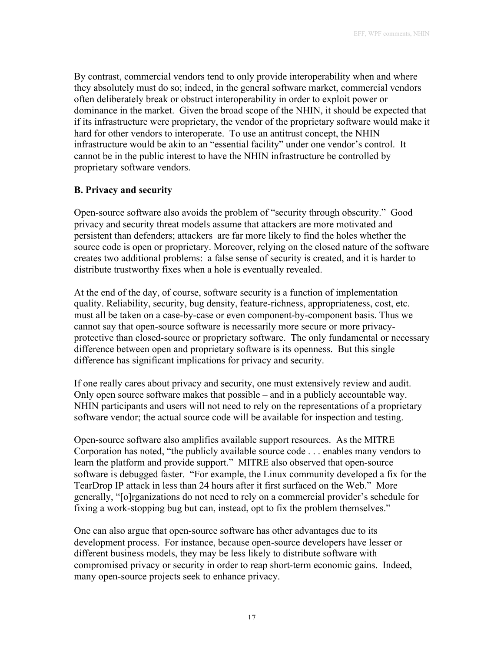By contrast, commercial vendors tend to only provide interoperability when and where they absolutely must do so; indeed, in the general software market, commercial vendors often deliberately break or obstruct interoperability in order to exploit power or dominance in the market. Given the broad scope of the NHIN, it should be expected that if its infrastructure were proprietary, the vendor of the proprietary software would make it hard for other vendors to interoperate. To use an antitrust concept, the NHIN infrastructure would be akin to an "essential facility" under one vendor's control. It cannot be in the public interest to have the NHIN infrastructure be controlled by proprietary software vendors.

# **B. Privacy and security**

Open-source software also avoids the problem of "security through obscurity." Good privacy and security threat models assume that attackers are more motivated and persistent than defenders; attackers are far more likely to find the holes whether the source code is open or proprietary. Moreover, relying on the closed nature of the software creates two additional problems: a false sense of security is created, and it is harder to distribute trustworthy fixes when a hole is eventually revealed.

At the end of the day, of course, software security is a function of implementation quality. Reliability, security, bug density, feature-richness, appropriateness, cost, etc. must all be taken on a case-by-case or even component-by-component basis. Thus we cannot say that open-source software is necessarily more secure or more privacyprotective than closed-source or proprietary software. The only fundamental or necessary difference between open and proprietary software is its openness. But this single difference has significant implications for privacy and security.

If one really cares about privacy and security, one must extensively review and audit. Only open source software makes that possible – and in a publicly accountable way. NHIN participants and users will not need to rely on the representations of a proprietary software vendor; the actual source code will be available for inspection and testing.

Open-source software also amplifies available support resources. As the MITRE Corporation has noted, "the publicly available source code . . . enables many vendors to learn the platform and provide support." MITRE also observed that open-source software is debugged faster. "For example, the Linux community developed a fix for the TearDrop IP attack in less than 24 hours after it first surfaced on the Web." More generally, "[o]rganizations do not need to rely on a commercial provider's schedule for fixing a work-stopping bug but can, instead, opt to fix the problem themselves."

One can also argue that open-source software has other advantages due to its development process. For instance, because open-source developers have lesser or different business models, they may be less likely to distribute software with compromised privacy or security in order to reap short-term economic gains. Indeed, many open-source projects seek to enhance privacy.